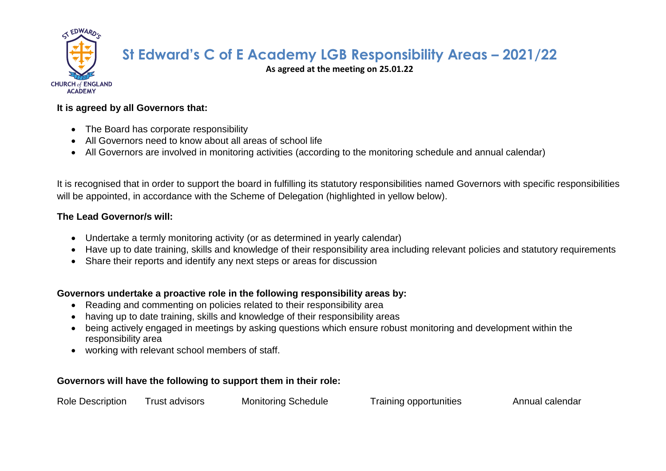

# **St Edward's C of E Academy LGB Responsibility Areas – 2021/22**

**As agreed at the meeting on 25.01.22**

#### **It is agreed by all Governors that:**

- The Board has corporate responsibility
- All Governors need to know about all areas of school life
- All Governors are involved in monitoring activities (according to the monitoring schedule and annual calendar)

It is recognised that in order to support the board in fulfilling its statutory responsibilities named Governors with specific responsibilities will be appointed, in accordance with the Scheme of Delegation (highlighted in yellow below).

#### **The Lead Governor/s will:**

- Undertake a termly monitoring activity (or as determined in yearly calendar)
- Have up to date training, skills and knowledge of their responsibility area including relevant policies and statutory requirements
- Share their reports and identify any next steps or areas for discussion

### **Governors undertake a proactive role in the following responsibility areas by:**

- Reading and commenting on policies related to their responsibility area
- having up to date training, skills and knowledge of their responsibility areas
- being actively engaged in meetings by asking questions which ensure robust monitoring and development within the responsibility area
- working with relevant school members of staff.

## **Governors will have the following to support them in their role:**

| <b>Role Description</b><br><b>Monitoring Schedule</b><br>Training opportunities<br>Trust advisors | Annual calendar |
|---------------------------------------------------------------------------------------------------|-----------------|
|---------------------------------------------------------------------------------------------------|-----------------|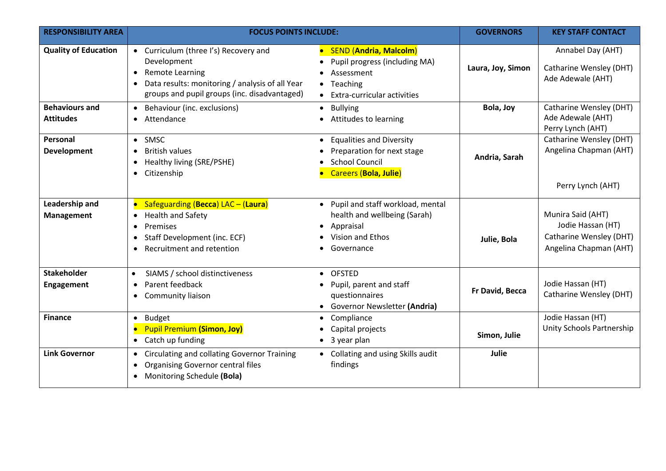| <b>RESPONSIBILITY AREA</b>                | <b>FOCUS POINTS INCLUDE:</b>                                                                                                                                                   |                                                                                                                      | <b>GOVERNORS</b>  | <b>KEY STAFF CONTACT</b>                                                                    |
|-------------------------------------------|--------------------------------------------------------------------------------------------------------------------------------------------------------------------------------|----------------------------------------------------------------------------------------------------------------------|-------------------|---------------------------------------------------------------------------------------------|
| <b>Quality of Education</b>               | • Curriculum (three I's) Recovery and<br>Development<br>• Remote Learning<br>• Data results: monitoring / analysis of all Year<br>groups and pupil groups (inc. disadvantaged) | • SEND (Andria, Malcolm)<br>Pupil progress (including MA)<br>Assessment<br>• Teaching<br>Extra-curricular activities | Laura, Joy, Simon | Annabel Day (AHT)<br>Catharine Wensley (DHT)<br>Ade Adewale (AHT)                           |
| <b>Behaviours and</b><br><b>Attitudes</b> | • Behaviour (inc. exclusions)<br>• Attendance                                                                                                                                  | <b>Bullying</b><br>• Attitudes to learning                                                                           | Bola, Joy         | Catharine Wensley (DHT)<br>Ade Adewale (AHT)<br>Perry Lynch (AHT)                           |
| Personal<br><b>Development</b>            | • SMSC<br><b>British values</b><br>$\bullet$<br>• Healthy living (SRE/PSHE)<br>• Citizenship                                                                                   | <b>Equalities and Diversity</b><br>Preparation for next stage<br><b>School Council</b><br>Careers (Bola, Julie)      | Andria, Sarah     | Catharine Wensley (DHT)<br>Angelina Chapman (AHT)<br>Perry Lynch (AHT)                      |
| Leadership and<br>Management              | • Safeguarding (Becca) LAC - (Laura)<br>• Health and Safety<br>Premises<br>$\bullet$<br>• Staff Development (inc. ECF)<br>Recruitment and retention<br>$\bullet$               | • Pupil and staff workload, mental<br>health and wellbeing (Sarah)<br>• Appraisal<br>Vision and Ethos<br>Governance  | Julie, Bola       | Munira Said (AHT)<br>Jodie Hassan (HT)<br>Catharine Wensley (DHT)<br>Angelina Chapman (AHT) |
| <b>Stakeholder</b><br>Engagement          | SIAMS / school distinctiveness<br>Parent feedback<br>$\bullet$<br>Community liaison<br>$\bullet$                                                                               | • OFSTED<br>Pupil, parent and staff<br>questionnaires<br>• Governor Newsletter (Andria)                              | Fr David, Becca   | Jodie Hassan (HT)<br>Catharine Wensley (DHT)                                                |
| <b>Finance</b>                            | Budget<br>$\bullet$<br>• Pupil Premium (Simon, Joy)<br>• Catch up funding                                                                                                      | Compliance<br>Capital projects<br>3 year plan                                                                        | Simon, Julie      | Jodie Hassan (HT)<br>Unity Schools Partnership                                              |
| <b>Link Governor</b>                      | • Circulating and collating Governor Training<br><b>Organising Governor central files</b><br>$\bullet$<br>• Monitoring Schedule (Bola)                                         | • Collating and using Skills audit<br>findings                                                                       | Julie             |                                                                                             |